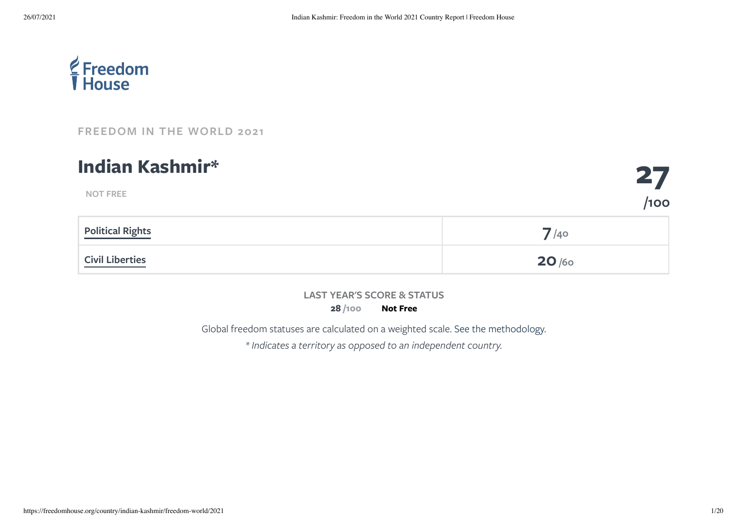

**NOT FREE**

**[FREEDOM](https://freedomhouse.org/report/freedom-world/2021/democracy-under-siege) IN THE WORLD 2021**

### **Indian Kashmir\***

| <b>Political Rights</b> | $\frac{7}{40}$ |
|-------------------------|----------------|
| <b>Civil Liberties</b>  | 20/60          |

**LAST YEAR'S SCORE & STATUS**

**28 Not Free /100**

Global freedom statuses are calculated on a weighted scale. See the [methodology.](https://freedomhouse.org/reports/freedom-world/freedom-world-research-methodology)

*\* Indicates a territory as opposed to an independent country.*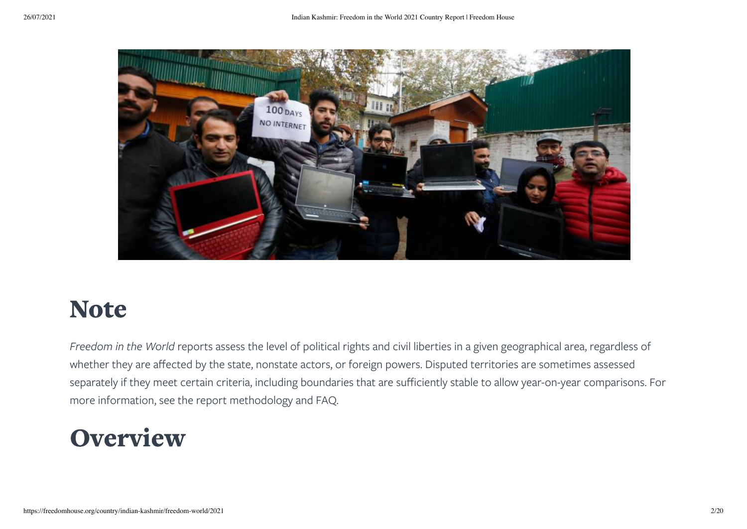

### Note

*Freedom in the World* reports assess the level of political rights and civil liberties in a given geographical area, regardless of whether they are affected by the state, nonstate actors, or foreign powers. Disputed territories are sometimes assessed separately if they meet certain criteria, including boundaries that are sufficiently stable to allow year-on-year comparisons. For more information, see the report methodology and FAQ.

### **Overview**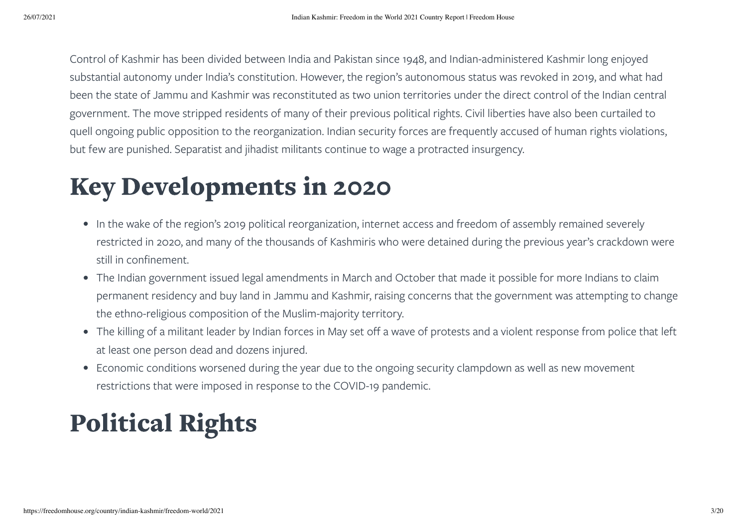Control of Kashmir has been divided between India and Pakistan since 1948, and Indian-administered Kashmir long enjoyed substantial autonomy under India's constitution. However, the region's autonomous status was revoked in 2019, and what had been the state of Jammu and Kashmir was reconstituted as two union territories under the direct control of the Indian central government. The move stripped residents of many of their previous political rights. Civil liberties have also been curtailed to quell ongoing public opposition to the reorganization. Indian security forces are frequently accused of human rights violations, but few are punished. Separatist and jihadist militants continue to wage a protracted insurgency.

### Key Developments in 2020

- In the wake of the region's 2019 political reorganization, internet access and freedom of assembly remained severely restricted in 2020, and many of the thousands of Kashmiris who were detained during the previous year's crackdown were still in confinement.
- The Indian government issued legal amendments in March and October that made it possible for more Indians to claim permanent residency and buy land in Jammu and Kashmir, raising concerns that the government was attempting to change the ethno-religious composition of the Muslim-majority territory.
- The killing of a militant leader by Indian forces in May set off a wave of protests and a violent response from police that left at least one person dead and dozens injured.
- Economic conditions worsened during the year due to the ongoing security clampdown as well as new movement restrictions that were imposed in response to the COVID-19 pandemic.

# <span id="page-2-0"></span>Political Rights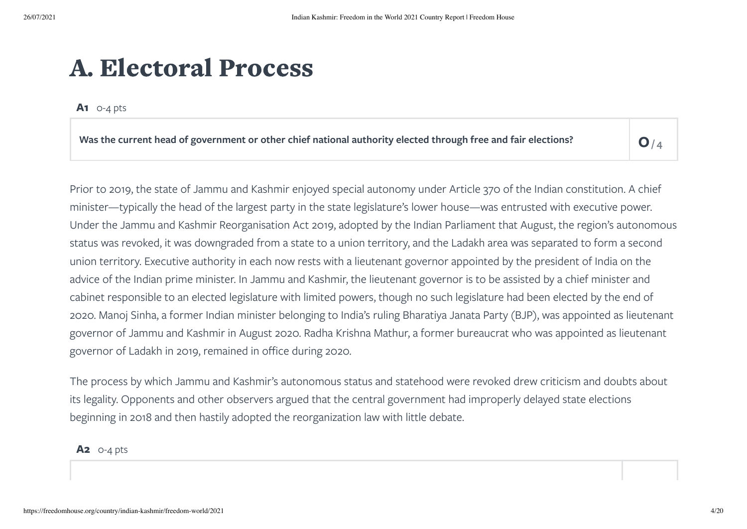### A. Electoral Process

**A1** 0-4 pts

Was the current head of government or other chief national authority elected through free and fair elections?

 $O/4$ 

Prior to 2019, the state of Jammu and Kashmir enjoyed special autonomy under Article 370 of the Indian constitution. A chief minister—typically the head of the largest party in the state legislature's lower house—was entrusted with executive power. Under the Jammu and Kashmir Reorganisation Act 2019, adopted by the Indian Parliament that August, the region's autonomous status was revoked, it was downgraded from a state to a union territory, and the Ladakh area was separated to form a second union territory. Executive authority in each now rests with a lieutenant governor appointed by the president of India on the advice of the Indian prime minister. In Jammu and Kashmir, the lieutenant governor is to be assisted by a chief minister and cabinet responsible to an elected legislature with limited powers, though no such legislature had been elected by the end of 2020. Manoj Sinha, a former Indian minister belonging to India's ruling Bharatiya Janata Party (BJP), was appointed as lieutenant governor of Jammu and Kashmir in August 2020. Radha Krishna Mathur, a former bureaucrat who was appointed as lieutenant governor of Ladakh in 2019, remained in office during 2020.

The process by which Jammu and Kashmir's autonomous status and statehood were revoked drew criticism and doubts about its legality. Opponents and other observers argued that the central government had improperly delayed state elections beginning in 2018 and then hastily adopted the reorganization law with little debate.

**A2** 0-4 pts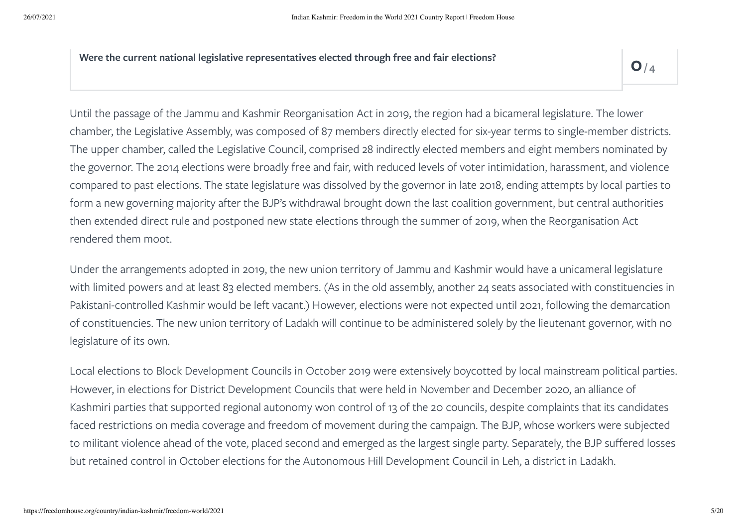**Were the current national legislative representatives elected through free and fair elections? 0**

 $Q/4$ 

Until the passage of the Jammu and Kashmir Reorganisation Act in 2019, the region had a bicameral legislature. The lower chamber, the Legislative Assembly, was composed of 87 members directly elected for six-year terms to single-member districts. The upper chamber, called the Legislative Council, comprised 28 indirectly elected members and eight members nominated by the governor. The 2014 elections were broadly free and fair, with reduced levels of voter intimidation, harassment, and violence compared to past elections. The state legislature was dissolved by the governor in late 2018, ending attempts by local parties to form a new governing majority after the BJP's withdrawal brought down the last coalition government, but central authorities then extended direct rule and postponed new state elections through the summer of 2019, when the Reorganisation Act rendered them moot.

Under the arrangements adopted in 2019, the new union territory of Jammu and Kashmir would have a unicameral legislature with limited powers and at least 83 elected members. (As in the old assembly, another 24 seats associated with constituencies in Pakistani-controlled Kashmir would be left vacant.) However, elections were not expected until 2021, following the demarcation of constituencies. The new union territory of Ladakh will continue to be administered solely by the lieutenant governor, with no legislature of its own.

Local elections to Block Development Councils in October 2019 were extensively boycotted by local mainstream political parties. However, in elections for District Development Councils that were held in November and December 2020, an alliance of Kashmiri parties that supported regional autonomy won control of 13 of the 20 councils, despite complaints that its candidates faced restrictions on media coverage and freedom of movement during the campaign. The BJP, whose workers were subjected to militant violence ahead of the vote, placed second and emerged as the largest single party. Separately, the BJP suffered losses but retained control in October elections for the Autonomous Hill Development Council in Leh, a district in Ladakh.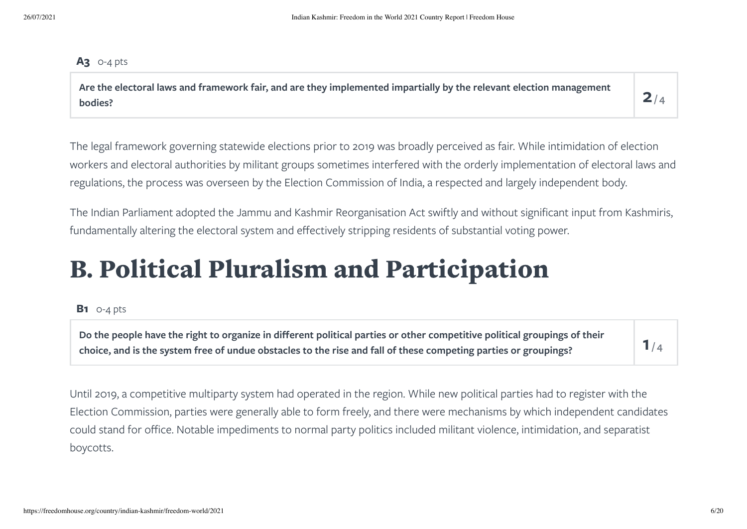#### **A3** 0-4 pts

Are the electoral laws and framework fair, and are they implemented impartially by the relevant election management<br>bodies?

 $2/4$ 

The legal framework governing statewide elections prior to 2019 was broadly perceived as fair. While intimidation of election workers and electoral authorities by militant groups sometimes interfered with the orderly implementation of electoral laws and regulations, the process was overseen by the Election Commission of India, a respected and largely independent body.

The Indian Parliament adopted the Jammu and Kashmir Reorganisation Act swiftly and without significant input from Kashmiris, fundamentally altering the electoral system and effectively stripping residents of substantial voting power.

### B. Political Pluralism and Participation

#### **B1** 0-4 pts

Do the people have the right to organize in different political parties or other competitive political groupings of their choice, and is the system free of undue obstacles to the rise and fall of these competing parties or groupings?

 $1/4$ 

Until 2019, a competitive multiparty system had operated in the region. While new political parties had to register with the Election Commission, parties were generally able to form freely, and there were mechanisms by which independent candidates could stand for office. Notable impediments to normal party politics included militant violence, intimidation, and separatist boycotts.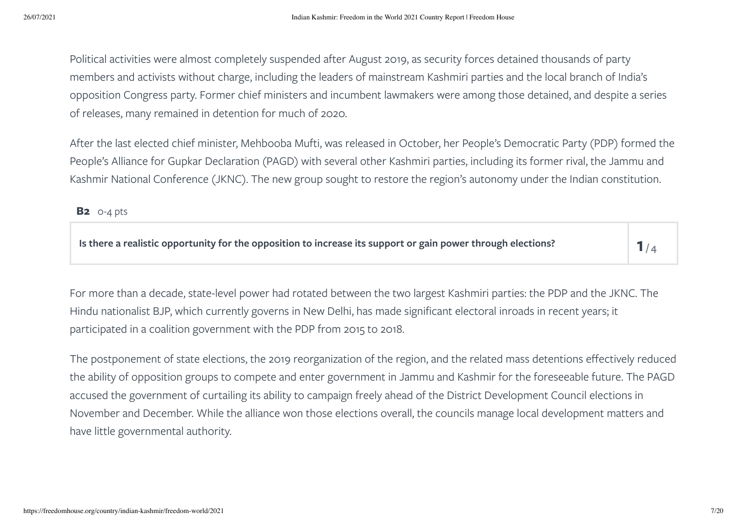Political activities were almost completely suspended after August 2019, as security forces detained thousands of party members and activists without charge, including the leaders of mainstream Kashmiri parties and the local branch of India's opposition Congress party. Former chief ministers and incumbent lawmakers were among those detained, and despite a series of releases, many remained in detention for much of 2020.

After the last elected chief minister, Mehbooba Mufti, was released in October, her People's Democratic Party (PDP) formed the People's Alliance for Gupkar Declaration (PAGD) with several other Kashmiri parties, including its former rival, the Jammu and Kashmir National Conference (JKNC). The new group sought to restore the region's autonomy under the Indian constitution.

**B2** 0-4 pts

Is there a realistic opportunity for the opposition to increase its support or gain power through elections?

 $1/4$ 

For more than a decade, state-level power had rotated between the two largest Kashmiri parties: the PDP and the JKNC. The Hindu nationalist BJP, which currently governs in New Delhi, has made significant electoral inroads in recent years; it participated in a coalition government with the PDP from 2015 to 2018.

The postponement of state elections, the 2019 reorganization of the region, and the related mass detentions effectively reduced the ability of opposition groups to compete and enter government in Jammu and Kashmir for the foreseeable future. The PAGD accused the government of curtailing its ability to campaign freely ahead of the District Development Council elections in November and December. While the alliance won those elections overall, the councils manage local development matters and have little governmental authority.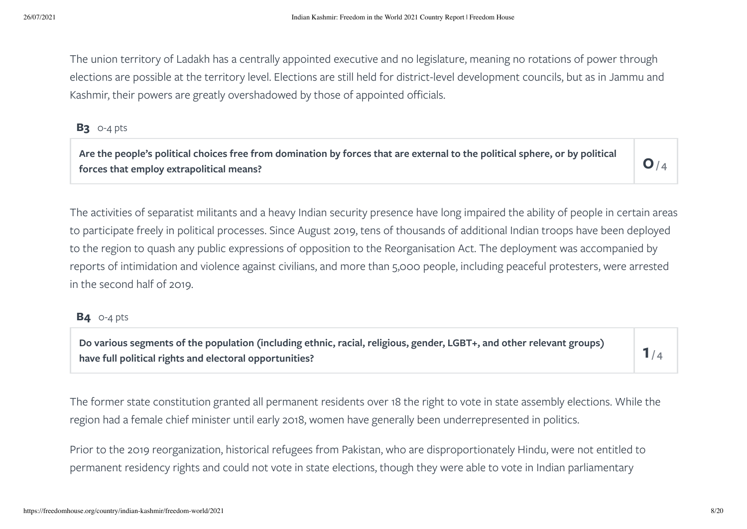The union territory of Ladakh has a centrally appointed executive and no legislature, meaning no rotations of power through elections are possible at the territory level. Elections are still held for district-level development councils, but as in Jammu and Kashmir, their powers are greatly overshadowed by those of appointed officials.

#### **B3** 0-4 pts

Are the people's political choices free from domination by forces that are external to the political sphere, or by political  $\vert\,\,\,\odot$  /

 $O/4$ 

The activities of separatist militants and a heavy Indian security presence have long impaired the ability of people in certain areas to participate freely in political processes. Since August 2019, tens of thousands of additional Indian troops have been deployed to the region to quash any public expressions of opposition to the Reorganisation Act. The deployment was accompanied by reports of intimidation and violence against civilians, and more than 5,000 people, including peaceful protesters, were arrested in the second half of 2019.

#### **B4** 0-4 pts

Do various segments of the population (including ethnic, racial, religious, gender, LGBT+, and other relevant groups)<br>have full political rights and electoral opportunities?

 $1/4$ 

The former state constitution granted all permanent residents over 18 the right to vote in state assembly elections. While the region had a female chief minister until early 2018, women have generally been underrepresented in politics.

Prior to the 2019 reorganization, historical refugees from Pakistan, who are disproportionately Hindu, were not entitled to permanent residency rights and could not vote in state elections, though they were able to vote in Indian parliamentary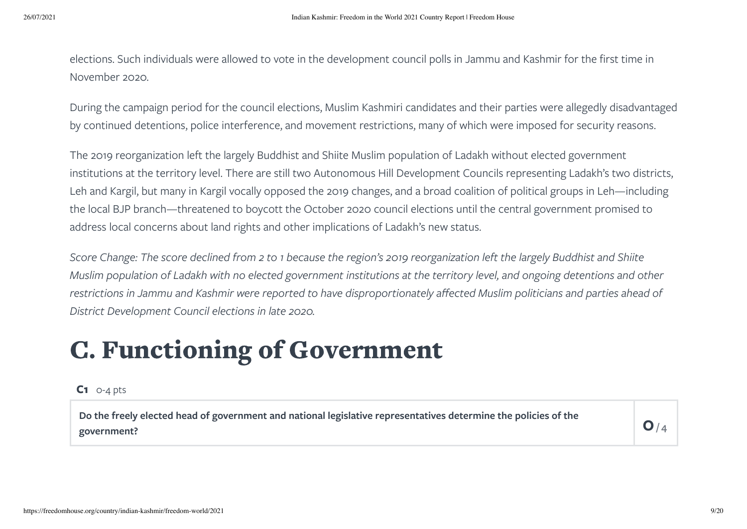elections. Such individuals were allowed to vote in the development council polls in Jammu and Kashmir for the first time in November 2020.

During the campaign period for the council elections, Muslim Kashmiri candidates and their parties were allegedly disadvantaged by continued detentions, police interference, and movement restrictions, many of which were imposed for security reasons.

The 2019 reorganization left the largely Buddhist and Shiite Muslim population of Ladakh without elected government institutions at the territory level. There are still two Autonomous Hill Development Councils representing Ladakh's two districts, Leh and Kargil, but many in Kargil vocally opposed the 2019 changes, and a broad coalition of political groups in Leh—including the local BJP branch—threatened to boycott the October 2020 council elections until the central government promised to address local concerns about land rights and other implications of Ladakh's new status.

Score Change: The score declined from 2 to 1 because the region's 2019 reorganization left the largely Buddhist and Shiite Muslim population of Ladakh with no elected government institutions at the territory level, and ongoing detentions and other restrictions in Jammu and Kashmir were reported to have disproportionately affected Muslim politicians and parties ahead of *District Development Council elections in late 2020.*

### C. Functioning of Government

#### **C1** 0-4 pts

Do the freely elected head of government and national legislative representatives determine the policies of the  $\mathsf{O}/\mathsf{O}$ 

 $O/4$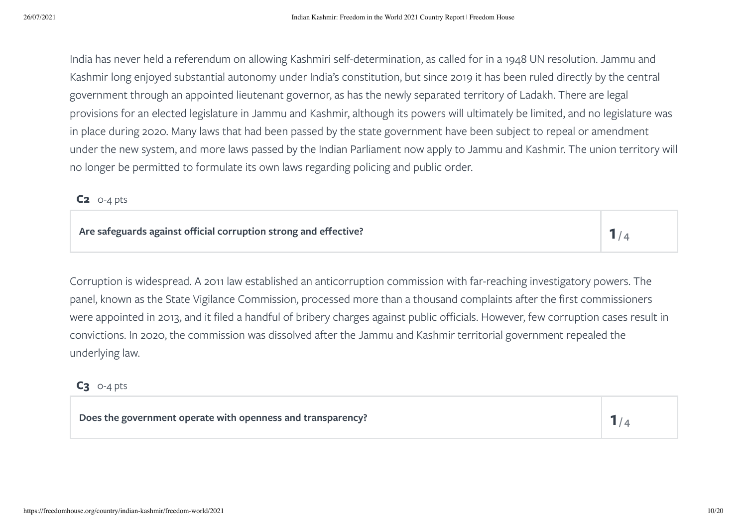India has never held a referendum on allowing Kashmiri self-determination, as called for in a 1948 UN resolution. Jammu and Kashmir long enjoyed substantial autonomy under India's constitution, but since 2019 it has been ruled directly by the central government through an appointed lieutenant governor, as has the newly separated territory of Ladakh. There are legal provisions for an elected legislature in Jammu and Kashmir, although its powers will ultimately be limited, and no legislature was in place during 2020. Many laws that had been passed by the state government have been subject to repeal or amendment under the new system, and more laws passed by the Indian Parliament now apply to Jammu and Kashmir. The union territory will no longer be permitted to formulate its own laws regarding policing and public order.

#### **C2** 0-4 pts

Corruption is widespread. A 2011 law established an anticorruption commission with far-reaching investigatory powers. The panel, known as the State Vigilance Commission, processed more than a thousand complaints after the first commissioners were appointed in 2013, and it filed a handful of bribery charges against public officials. However, few corruption cases result in convictions. In 2020, the commission was dissolved after the Jammu and Kashmir territorial government repealed the underlying law.

#### **C3** 0-4 pts

**Does the government operate with openness and transparency? 1**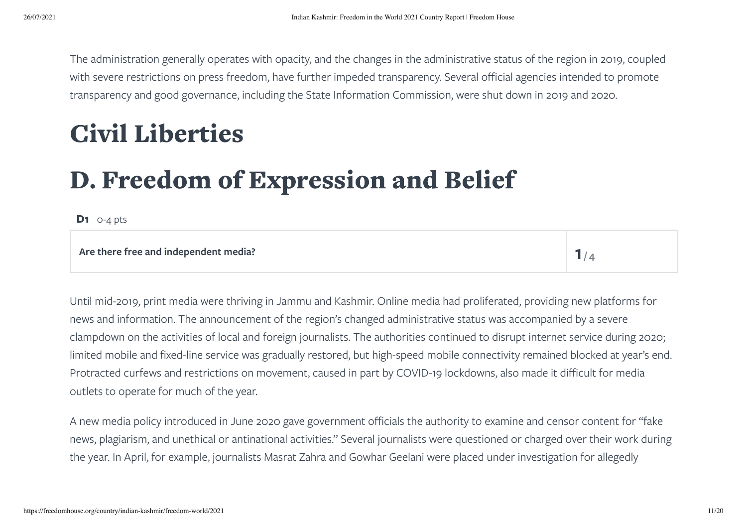The administration generally operates with opacity, and the changes in the administrative status of the region in 2019, coupled with severe restrictions on press freedom, have further impeded transparency. Several official agencies intended to promote transparency and good governance, including the State Information Commission, were shut down in 2019 and 2020.

## <span id="page-10-0"></span>Civil Liberties

# D. Freedom of Expression and Belief

**D1** 0-4 pts

#### **Are there free and independent media? 1**

 $1/4$ 

Until mid-2019, print media were thriving in Jammu and Kashmir. Online media had proliferated, providing new platforms for news and information. The announcement of the region's changed administrative status was accompanied by a severe clampdown on the activities of local and foreign journalists. The authorities continued to disrupt internet service during 2020; limited mobile and fixed-line service was gradually restored, but high-speed mobile connectivity remained blocked at year's end. Protracted curfews and restrictions on movement, caused in part by COVID-19 lockdowns, also made it difficult for media outlets to operate for much of the year.

A new media policy introduced in June 2020 gave government officials the authority to examine and censor content for "fake news, plagiarism, and unethical or antinational activities." Several journalists were questioned or charged over their work during the year. In April, for example, journalists Masrat Zahra and Gowhar Geelani were placed under investigation for allegedly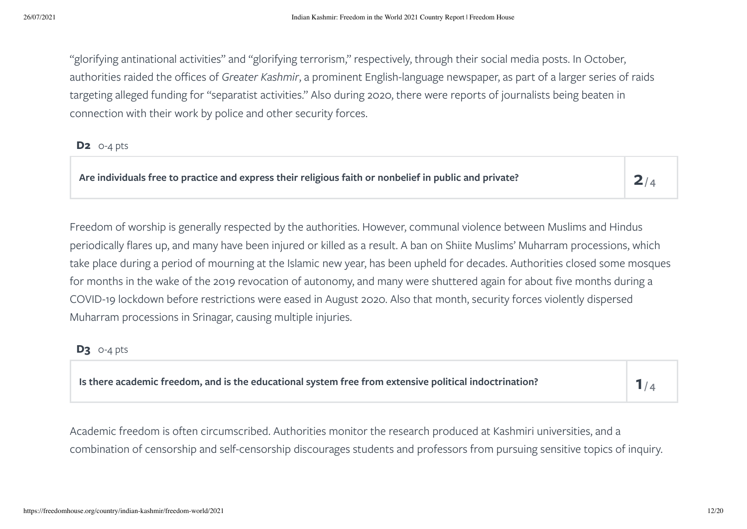"glorifying antinational activities" and "glorifying terrorism," respectively, through their social media posts. In October, authorities raided the offices of *Greater Kashmir*, a prominent English-language newspaper, as part of a larger series of raids targeting alleged funding for "separatist activities." Also during 2020, there were reports of journalists being beaten in connection with their work by police and other security forces.

#### **D2** 0-4 pts

**Are individuals free to practice and express their religious faith or nonbelief in public and private? 2**

 $2/4$ 

Freedom of worship is generally respected by the authorities. However, communal violence between Muslims and Hindus periodically flares up, and many have been injured or killed as a result. A ban on Shiite Muslims' Muharram processions, which take place during a period of mourning at the Islamic new year, has been upheld for decades. Authorities closed some mosques for months in the wake of the 2019 revocation of autonomy, and many were shuttered again for about five months during a COVID-19 lockdown before restrictions were eased in August 2020. Also that month, security forces violently dispersed Muharram processions in Srinagar, causing multiple injuries.

#### **D3** 0-4 pts

| Is there academic freedom, and is the educational system free from extensive political indoctrination? |  |
|--------------------------------------------------------------------------------------------------------|--|
|--------------------------------------------------------------------------------------------------------|--|

Academic freedom is often circumscribed. Authorities monitor the research produced at Kashmiri universities, and a combination of censorship and self-censorship discourages students and professors from pursuing sensitive topics of inquiry.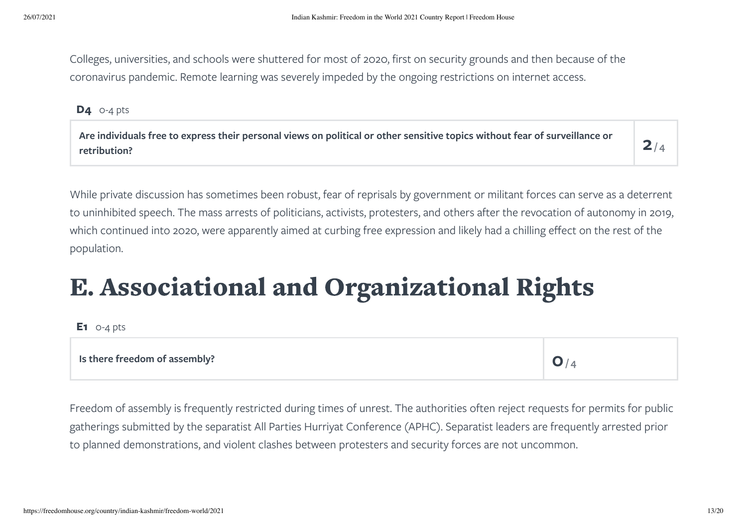Colleges, universities, and schools were shuttered for most of 2020, first on security grounds and then because of the coronavirus pandemic. Remote learning was severely impeded by the ongoing restrictions on internet access.

**D4** 0-4 pts

Are individuals free to express their personal views on political or other sensitive topics without fear of surveillance or  $\mathsf P$ 

 $2/4$ 

While private discussion has sometimes been robust, fear of reprisals by government or militant forces can serve as a deterrent to uninhibited speech. The mass arrests of politicians, activists, protesters, and others after the revocation of autonomy in 2019, which continued into 2020, were apparently aimed at curbing free expression and likely had a chilling effect on the rest of the population.

# E. Associational and Organizational Rights

**E1** 0-4 pts

#### **Is there freedom of assembly? 0**

 $O/4$ 

Freedom of assembly is frequently restricted during times of unrest. The authorities often reject requests for permits for public gatherings submitted by the separatist All Parties Hurriyat Conference (APHC). Separatist leaders are frequently arrested prior to planned demonstrations, and violent clashes between protesters and security forces are not uncommon.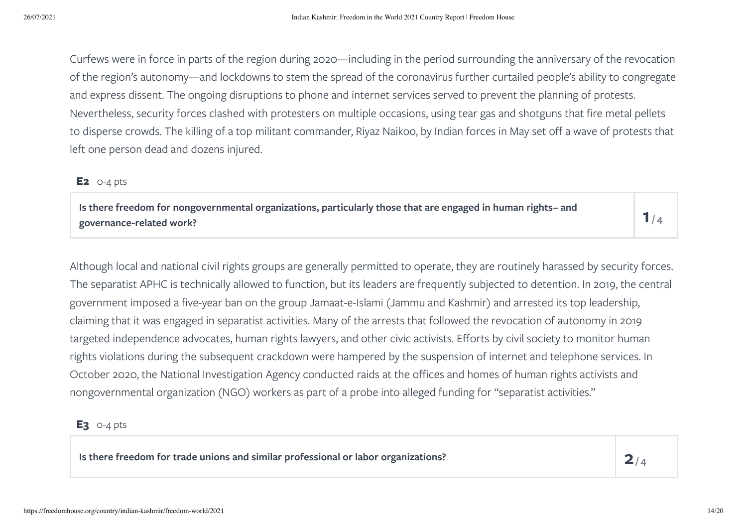Curfews were in force in parts of the region during 2020—including in the period surrounding the anniversary of the revocation of the region's autonomy—and lockdowns to stem the spread of the coronavirus further curtailed people's ability to congregate and express dissent. The ongoing disruptions to phone and internet services served to prevent the planning of protests. Nevertheless, security forces clashed with protesters on multiple occasions, using tear gas and shotguns that fire metal pellets to disperse crowds. The killing of a top militant commander, Riyaz Naikoo, by Indian forces in May set off a wave of protests that left one person dead and dozens injured.

#### **E2** 0-4 pts

Is there freedom for nongovernmental organizations, particularly those that are engaged in human rights– and  $\mathsf I$ 

 $1/4$ 

Although local and national civil rights groups are generally permitted to operate, they are routinely harassed by security forces. The separatist APHC is technically allowed to function, but its leaders are frequently subjected to detention. In 2019, the central government imposed a five-year ban on the group Jamaat-e-Islami (Jammu and Kashmir) and arrested its top leadership, claiming that it was engaged in separatist activities. Many of the arrests that followed the revocation of autonomy in 2019 targeted independence advocates, human rights lawyers, and other civic activists. Efforts by civil society to monitor human rights violations during the subsequent crackdown were hampered by the suspension of internet and telephone services. In October 2020, the National Investigation Agency conducted raids at the offices and homes of human rights activists and nongovernmental organization (NGO) workers as part of a probe into alleged funding for "separatist activities."

#### **E3** 0-4 pts

**Is there freedom for trade unions and similar professional or labor organizations? 2**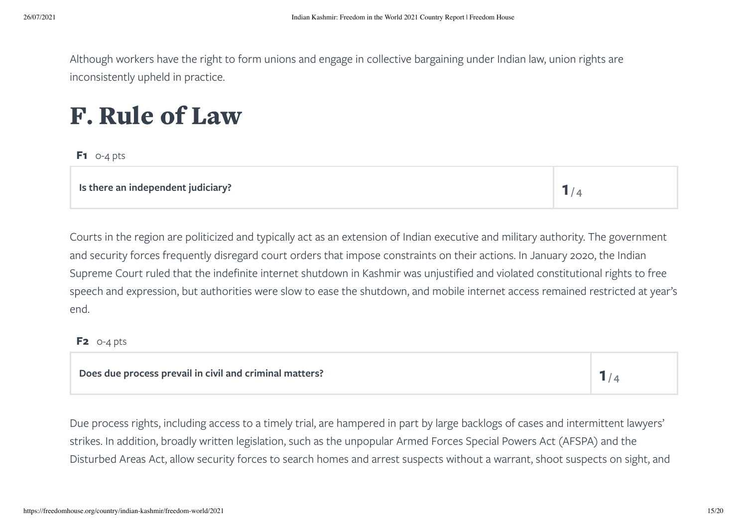Although workers have the right to form unions and engage in collective bargaining under Indian law, union rights are inconsistently upheld in practice.

### F. Rule of Law

**F1** 0-4 pts

**Is there an independent judiciary? 1**  $1/4$ 

Courts in the region are politicized and typically act as an extension of Indian executive and military authority. The government and security forces frequently disregard court orders that impose constraints on their actions. In January 2020, the Indian Supreme Court ruled that the indefinite internet shutdown in Kashmir was unjustified and violated constitutional rights to free speech and expression, but authorities were slow to ease the shutdown, and mobile internet access remained restricted at year's end.

#### **F2** 0-4 pts

#### **Does due process prevail in civil and criminal matters? 1**

 $1/4$ 

Due process rights, including access to a timely trial, are hampered in part by large backlogs of cases and intermittent lawyers' strikes. In addition, broadly written legislation, such as the unpopular Armed Forces Special Powers Act (AFSPA) and the Disturbed Areas Act, allow security forces to search homes and arrest suspects without a warrant, shoot suspects on sight, and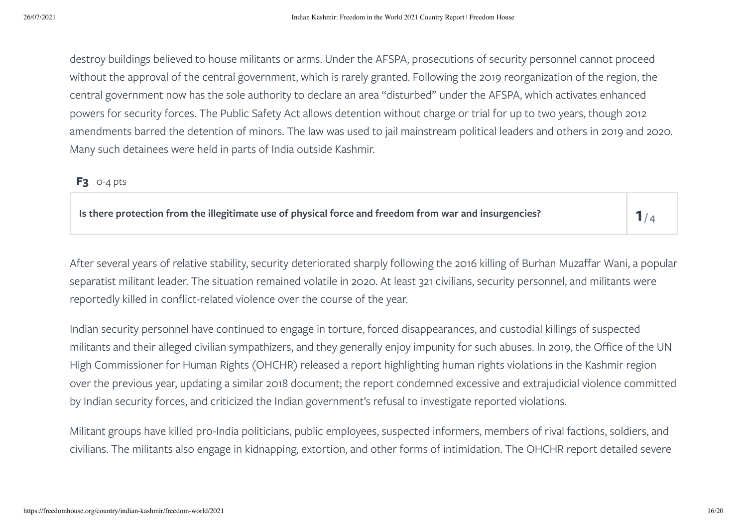destroy buildings believed to house militants or arms. Under the AFSPA, prosecutions of security personnel cannot proceed without the approval of the central government, which is rarely granted. Following the 2019 reorganization of the region, the central government now has the sole authority to declare an area "disturbed" under the AFSPA, which activates enhanced powers for security forces. The Public Safety Act allows detention without charge or trial for up to two years, though 2012 amendments barred the detention of minors. The law was used to jail mainstream political leaders and others in 2019 and 2020. Many such detainees were held in parts of India outside Kashmir.

#### **F3** 0-4 pts

**Is there protection from the illegitimate use of physical force and freedom from war and insurgencies? 1**

 $1/4$ 

After several years of relative stability, security deteriorated sharply following the 2016 killing of Burhan Muzaffar Wani, a popular separatist militant leader. The situation remained volatile in 2020. At least 321 civilians, security personnel, and militants were reportedly killed in conflict-related violence over the course of the year.

Indian security personnel have continued to engage in torture, forced disappearances, and custodial killings of suspected militants and their alleged civilian sympathizers, and they generally enjoy impunity for such abuses. In 2019, the Office of the UN High Commissioner for Human Rights (OHCHR) released a report highlighting human rights violations in the Kashmir region over the previous year, updating a similar 2018 document; the report condemned excessive and extrajudicial violence committed by Indian security forces, and criticized the Indian government's refusal to investigate reported violations.

Militant groups have killed pro-India politicians, public employees, suspected informers, members of rival factions, soldiers, and civilians. The militants also engage in kidnapping, extortion, and other forms of intimidation. The OHCHR report detailed severe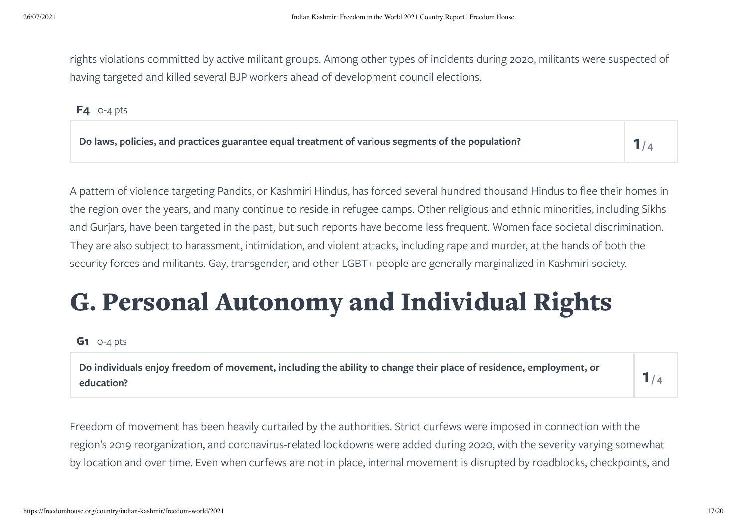rights violations committed by active militant groups. Among other types of incidents during 2020, militants were suspected of having targeted and killed several BJP workers ahead of development council elections.

**F4** 0-4 pts

| Do laws, policies, and practices guarantee equal treatment of various segments of the population? |  |
|---------------------------------------------------------------------------------------------------|--|
|---------------------------------------------------------------------------------------------------|--|

A pattern of violence targeting Pandits, or Kashmiri Hindus, has forced several hundred thousand Hindus to flee their homes in the region over the years, and many continue to reside in refugee camps. Other religious and ethnic minorities, including Sikhs and Gurjars, have been targeted in the past, but such reports have become less frequent. Women face societal discrimination. They are also subject to harassment, intimidation, and violent attacks, including rape and murder, at the hands of both the security forces and militants. Gay, transgender, and other LGBT+ people are generally marginalized in Kashmiri society.

# G. Personal Autonomy and Individual Rights

#### **G1** 0-4 pts

Do individuals enjoy freedom of movement, including the ability to change their place of residence, employment, or  $\begin{array}{|c|} \hline \end{array}$ 

 $1/4$ 

Freedom of movement has been heavily curtailed by the authorities. Strict curfews were imposed in connection with the region's 2019 reorganization, and coronavirus-related lockdowns were added during 2020, with the severity varying somewhat by location and over time. Even when curfews are not in place, internal movement is disrupted by roadblocks, checkpoints, and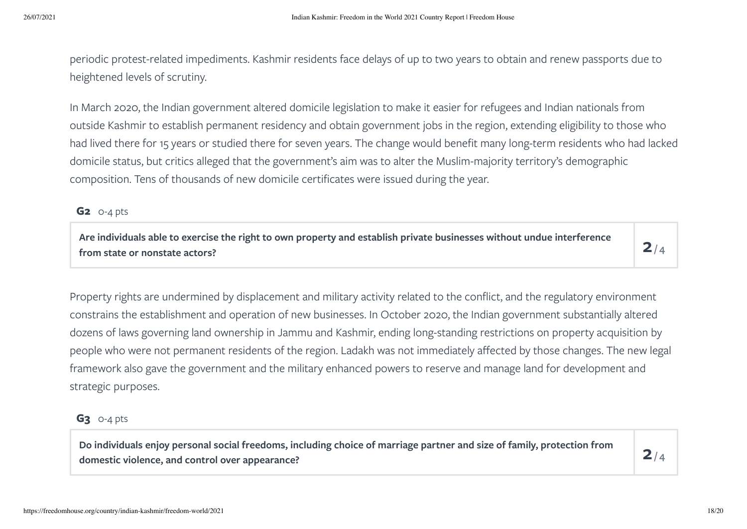periodic protest-related impediments. Kashmir residents face delays of up to two years to obtain and renew passports due to heightened levels of scrutiny.

In March 2020, the Indian government altered domicile legislation to make it easier for refugees and Indian nationals from outside Kashmir to establish permanent residency and obtain government jobs in the region, extending eligibility to those who had lived there for 15 years or studied there for seven years. The change would benefit many long-term residents who had lacked domicile status, but critics alleged that the government's aim was to alter the Muslim-majority territory's demographic composition. Tens of thousands of new domicile certificates were issued during the year.

#### **G2** 0-4 pts

Are individuals able to exercise the right to own property and establish private businesses without undue interference  $\mathsf P$ 

 $2/4$ 

Property rights are undermined by displacement and military activity related to the conflict, and the regulatory environment constrains the establishment and operation of new businesses. In October 2020, the Indian government substantially altered dozens of laws governing land ownership in Jammu and Kashmir, ending long-standing restrictions on property acquisition by people who were not permanent residents of the region. Ladakh was not immediately affected by those changes. The new legal framework also gave the government and the military enhanced powers to reserve and manage land for development and strategic purposes.

#### **G3** 0-4 pts

Do individuals enjoy personal social freedoms, including choice of marriage partner and size of family, protection from  $\mathsf P$ 

 $2/4$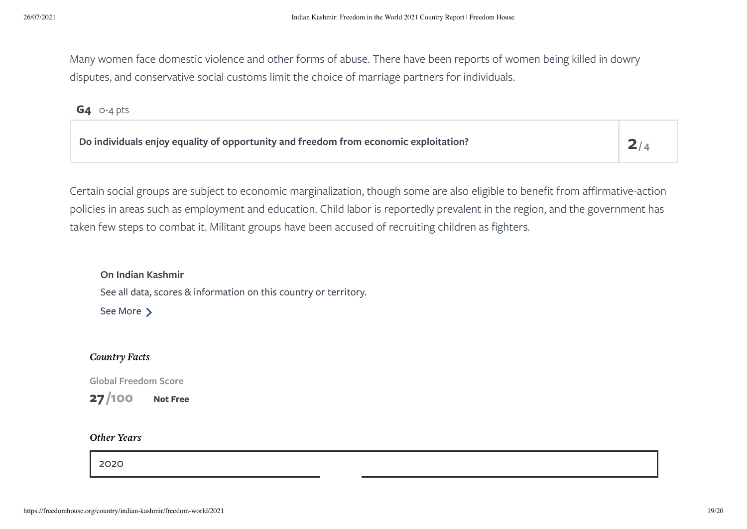Many women face domestic violence and other forms of abuse. There have been reports of women being killed in dowry disputes, and conservative social customs limit the choice of marriage partners for individuals.

#### **G4** 0-4 pts

| Do individuals enjoy equality of opportunity and freedom from economic exploitation? | 2/4 |
|--------------------------------------------------------------------------------------|-----|
|                                                                                      |     |

Certain social groups are subject to economic marginalization, though some are also eligible to benefit from affirmative-action policies in areas such as employment and education. Child labor is reportedly prevalent in the region, and the government has taken few steps to combat it. Militant groups have been accused of recruiting children as fighters.

**On Indian Kashmir** See all data, scores & information on this country or territory. See [More](https://freedomhouse.org/country/indian-kashmir)  $\sum$ 

#### Country Facts

**Global Freedom Score**

**27 Not Free /100**

#### Other Years

[2020](https://freedomhouse.org/country/indian-kashmir/freedom-world/2020)